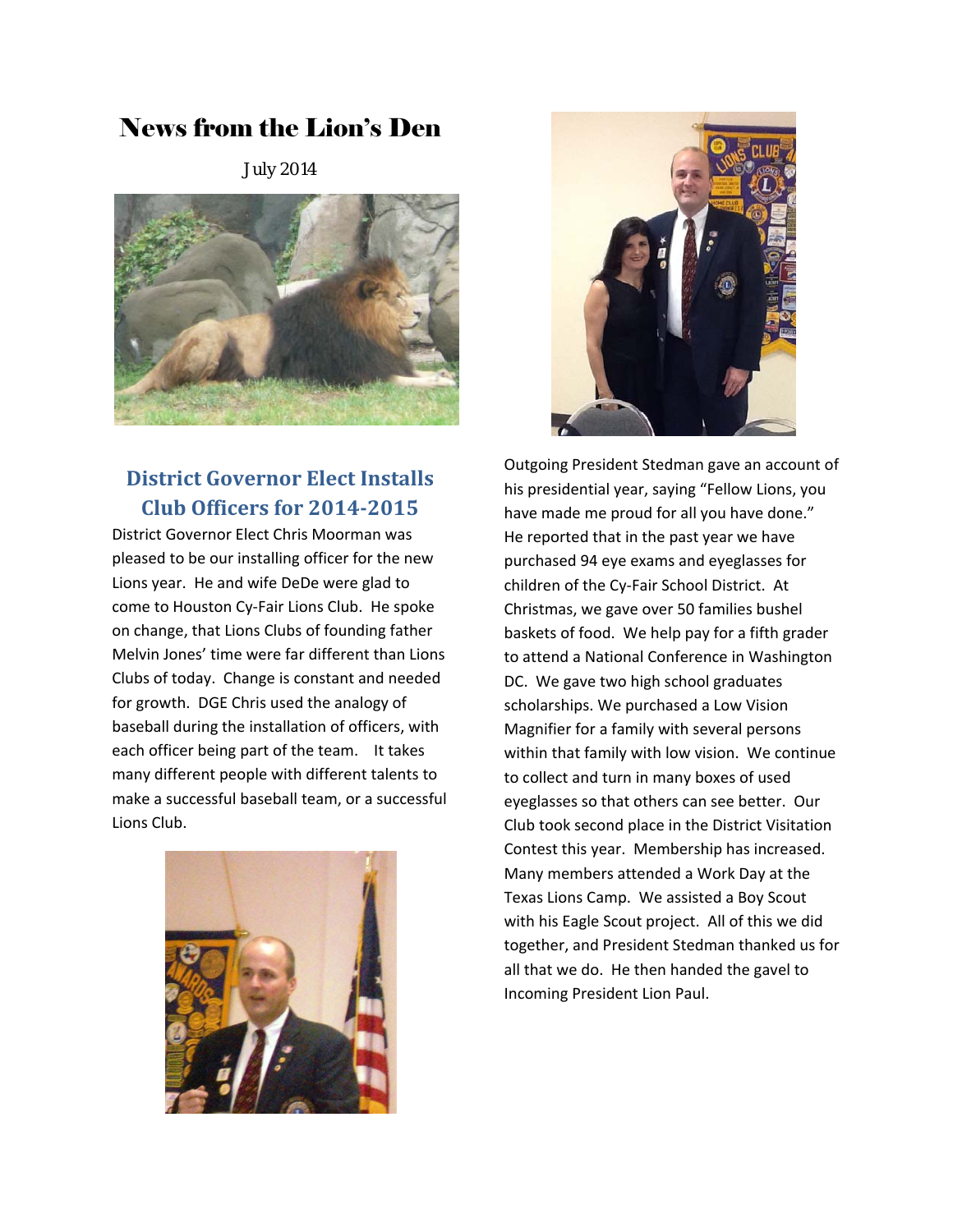# News from the Lion's Den

July 2014



## **District Governor Elect Installs Club Officers for 2014‐2015**

District Governor Elect Chris Moorman was pleased to be our installing officer for the new Lions year. He and wife DeDe were glad to come to Houston Cy‐Fair Lions Club. He spoke on change, that Lions Clubs of founding father Melvin Jones' time were far different than Lions Clubs of today. Change is constant and needed for growth. DGE Chris used the analogy of baseball during the installation of officers, with each officer being part of the team. It takes many different people with different talents to make a successful baseball team, or a successful Lions Club.





Outgoing President Stedman gave an account of his presidential year, saying "Fellow Lions, you have made me proud for all you have done." He reported that in the past year we have purchased 94 eye exams and eyeglasses for children of the Cy‐Fair School District. At Christmas, we gave over 50 families bushel baskets of food. We help pay for a fifth grader to attend a National Conference in Washington DC. We gave two high school graduates scholarships. We purchased a Low Vision Magnifier for a family with several persons within that family with low vision. We continue to collect and turn in many boxes of used eyeglasses so that others can see better. Our Club took second place in the District Visitation Contest this year. Membership has increased. Many members attended a Work Day at the Texas Lions Camp. We assisted a Boy Scout with his Eagle Scout project. All of this we did together, and President Stedman thanked us for all that we do. He then handed the gavel to Incoming President Lion Paul.